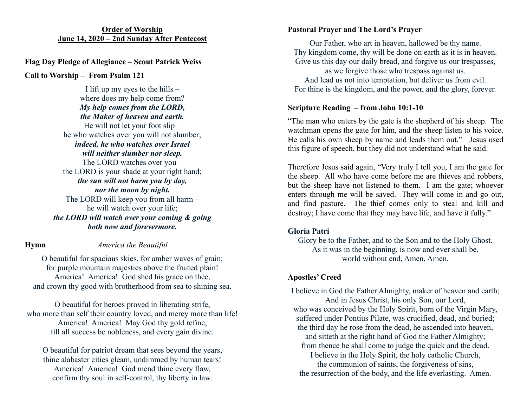#### **Order of Worship June 14, 2020 – 2nd Sunday After Pentecost**

## **Flag Day Pledge of Allegiance – Scout Patrick Weiss**

**Call to Worship – From Psalm 121**

I lift up my eyes to the hills  $$ where does my help come from? *My help comes from the LORD, the Maker of heaven and earth.* He will not let your foot slip – he who watches over you will not slumber; *indeed, he who watches over Israel will neither slumber nor sleep.* The LORD watches over you – the LORD is your shade at your right hand; *the sun will not harm you by day, nor the moon by night.* The LORD will keep you from all harm – he will watch over your life; *the LORD will watch over your coming & going both now and forevermore.*

# **Hymn** *America the Beautiful*

O beautiful for spacious skies, for amber waves of grain; for purple mountain majesties above the fruited plain! America! America! God shed his grace on thee, and crown thy good with brotherhood from sea to shining sea.

O beautiful for heroes proved in liberating strife, who more than self their country loved, and mercy more than life! America! America! May God thy gold refine, till all success be nobleness, and every gain divine.

O beautiful for patriot dream that sees beyond the years, thine alabaster cities gleam, undimmed by human tears! America! America! God mend thine every flaw, confirm thy soul in self-control, thy liberty in law.

#### **Pastoral Prayer and The Lord's Prayer**

Our Father, who art in heaven, hallowed be thy name. Thy kingdom come, thy will be done on earth as it is in heaven. Give us this day our daily bread, and forgive us our trespasses, as we forgive those who trespass against us. And lead us not into temptation, but deliver us from evil. For thine is the kingdom, and the power, and the glory, forever.

### **Scripture Reading – from John 10:1-10**

"The man who enters by the gate is the shepherd of his sheep. The watchman opens the gate for him, and the sheep listen to his voice. He calls his own sheep by name and leads them out." Jesus used this figure of speech, but they did not understand what he said.

Therefore Jesus said again, "Very truly I tell you, I am the gate for the sheep. All who have come before me are thieves and robbers, but the sheep have not listened to them. I am the gate; whoever enters through me will be saved. They will come in and go out, and find pasture. The thief comes only to steal and kill and destroy; I have come that they may have life, and have it fully."

### **Gloria Patri**

Glory be to the Father, and to the Son and to the Holy Ghost. As it was in the beginning, is now and ever shall be, world without end, Amen, Amen.

# **Apostles' Creed**

I believe in God the Father Almighty, maker of heaven and earth; And in Jesus Christ, his only Son, our Lord, who was conceived by the Holy Spirit, born of the Virgin Mary, suffered under Pontius Pilate, was crucified, dead, and buried; the third day he rose from the dead, he ascended into heaven, and sitteth at the right hand of God the Father Almighty; from thence he shall come to judge the quick and the dead.

I believe in the Holy Spirit, the holy catholic Church, the communion of saints, the forgiveness of sins, the resurrection of the body, and the life everlasting. Amen.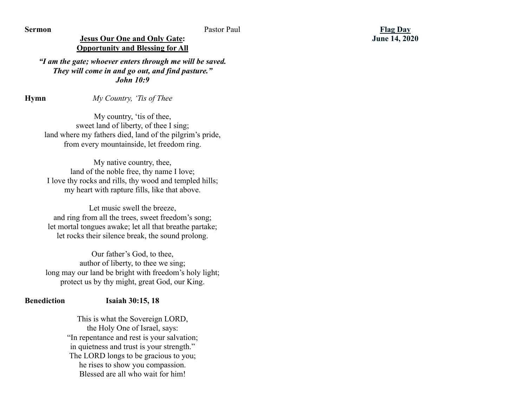**Sermon** Pastor Paul

**Jesus Our One and Only Gate: Opportunity and Blessing for All**

*"I am the gate; whoever enters through me will be saved. They will come in and go out, and find pasture." John 10:9*

**Hymn** *My Country, 'Tis of Thee*

My country, 'tis of thee, sweet land of liberty, of thee I sing; land where my fathers died, land of the pilgrim's pride, from every mountainside, let freedom ring.

My native country, thee, land of the noble free, thy name I love; I love thy rocks and rills, thy wood and templed hills; my heart with rapture fills, like that above.

Let music swell the breeze. and ring from all the trees, sweet freedom's song; let mortal tongues awake; let all that breathe partake; let rocks their silence break, the sound prolong.

Our father's God, to thee, author of liberty, to thee we sing; long may our land be bright with freedom's holy light; protect us by thy might, great God, our King.

#### **Benediction Isaiah 30:15, 18**

This is what the Sovereign LORD, the Holy One of Israel, says: "In repentance and rest is your salvation; in quietness and trust is your strength." The LORD longs to be gracious to you; he rises to show you compassion. Blessed are all who wait for him!